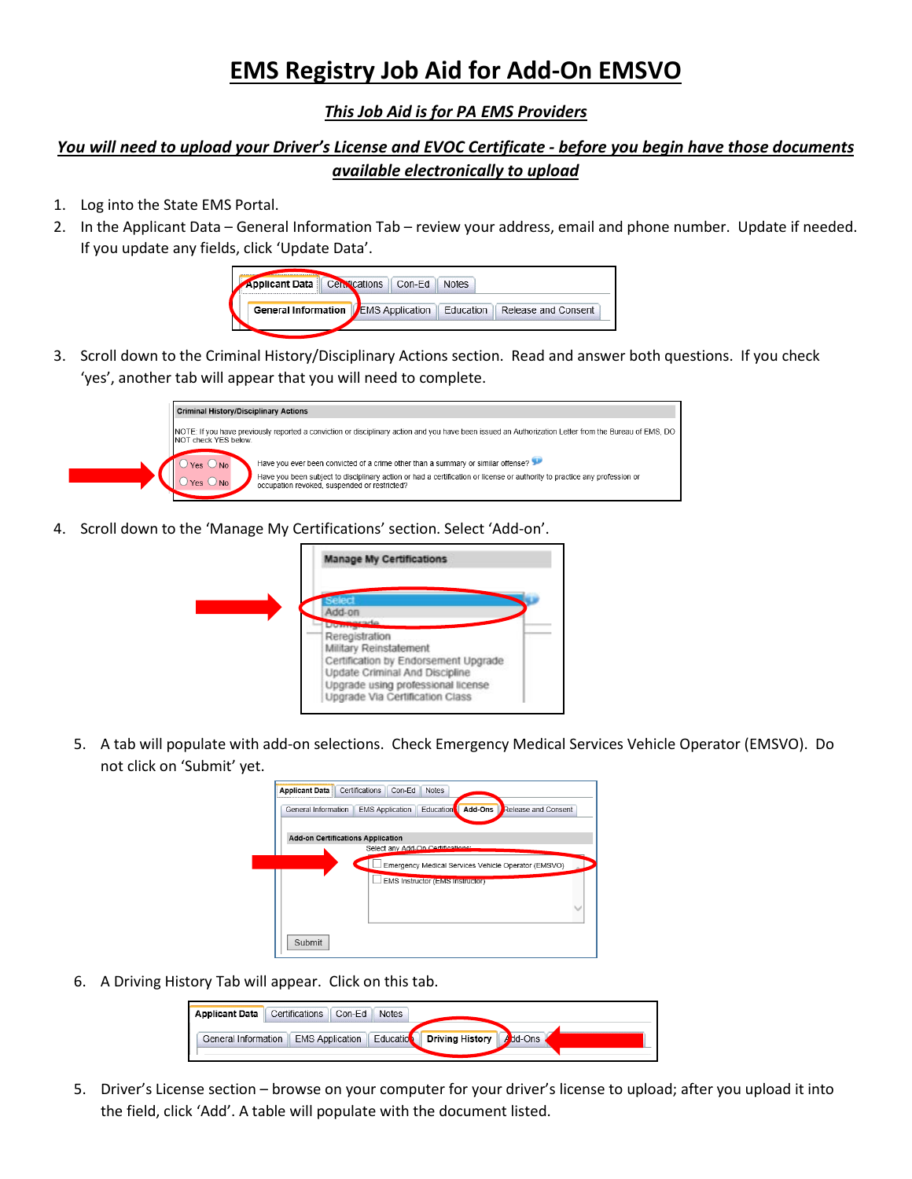## **EMS Registry Job Aid for Add-On EMSVO**

## *This Job Aid is for PA EMS Providers*

## *You will need to upload your Driver's License and EVOC Certificate - before you begin have those documents available electronically to upload*

- 1. Log into the State EMS Portal.
- 2. In the Applicant Data General Information Tab review your address, email and phone number. Update if needed. If you update any fields, click 'Update Data'.



3. Scroll down to the Criminal History/Disciplinary Actions section. Read and answer both questions. If you check 'yes', another tab will appear that you will need to complete.



4. Scroll down to the 'Manage My Certifications' section. Select 'Add-on'.



5. A tab will populate with add-on selections. Check Emergency Medical Services Vehicle Operator (EMSVO). Do not click on 'Submit' yet.

| General Information                      | Education<br>Add-Ons<br>Release and Consent<br><b>EMS Application</b> |
|------------------------------------------|-----------------------------------------------------------------------|
| <b>Add-on Certifications Application</b> |                                                                       |
|                                          | Select any Add-On Certifications:                                     |
|                                          | Emergency Medical Services Vehicle Operator (EMSVO)                   |
|                                          | <b>EMS Instructor (EMS Instructor)</b>                                |
|                                          |                                                                       |
|                                          |                                                                       |
|                                          |                                                                       |

6. A Driving History Tab will appear. Click on this tab.



5. Driver's License section – browse on your computer for your driver's license to upload; after you upload it into the field, click 'Add'. A table will populate with the document listed.